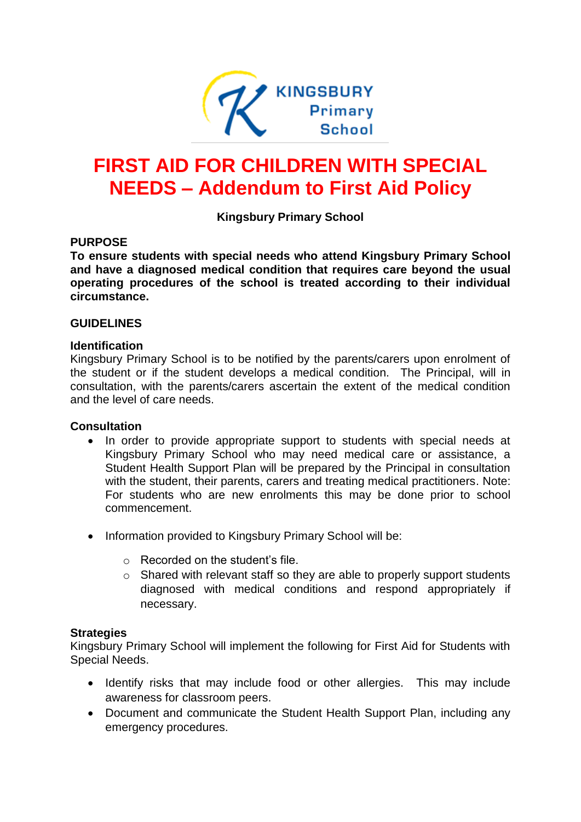

# **FIRST AID FOR CHILDREN WITH SPECIAL NEEDS – Addendum to First Aid Policy**

**Kingsbury Primary School** 

#### **PURPOSE**

**To ensure students with special needs who attend Kingsbury Primary School and have a diagnosed medical condition that requires care beyond the usual operating procedures of the school is treated according to their individual circumstance.**

#### **GUIDELINES**

#### **Identification**

Kingsbury Primary School is to be notified by the parents/carers upon enrolment of the student or if the student develops a medical condition. The Principal, will in consultation, with the parents/carers ascertain the extent of the medical condition and the level of care needs.

#### **Consultation**

- In order to provide appropriate support to students with special needs at Kingsbury Primary School who may need medical care or assistance, a Student Health Support Plan will be prepared by the Principal in consultation with the student, their parents, carers and treating medical practitioners. Note: For students who are new enrolments this may be done prior to school commencement.
- Information provided to Kingsbury Primary School will be:
	- o Recorded on the student's file.
	- o Shared with relevant staff so they are able to properly support students diagnosed with medical conditions and respond appropriately if necessary.

#### **Strategies**

Kingsbury Primary School will implement the following for First Aid for Students with Special Needs.

- Identify risks that may include food or other allergies. This may include awareness for classroom peers.
- Document and communicate the Student Health Support Plan, including any emergency procedures.